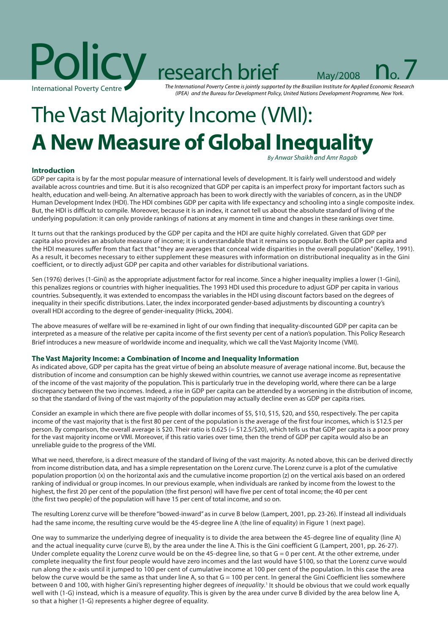

The International Poverty Centre is jointly supported by the Brazilian Institute for Applied Economic Research (IPEA) and the Bureau for Development Policy, United Nations Development Programme, New York.

# The Vast Majority Income (VMI): **A New Measure of Global Inequality**

By Anwar Shaikh and Amr Ragab

# **Introduction**

GDP per capita is by far the most popular measure of international levels of development. It is fairly well understood and widely available across countries and time. But it is also recognized that GDP per capita is an imperfect proxy for important factors such as health, education and well-being. An alternative approach has been to work directly with the variables of concern, as in the UNDP Human Development Index (HDI). The HDI combines GDP per capita with life expectancy and schooling into a single composite index. But, the HDI is difficult to compile. Moreover, because it is an index, it cannot tell us about the absolute standard of living of the underlying population: it can only provide rankings of nations at any moment in time and changes in these rankings over time.

It turns out that the rankings produced by the GDP per capita and the HDI are quite highly correlated. Given that GDP per capita also provides an absolute measure of income; it is understandable that it remains so popular. Both the GDP per capita and the HDI measures suffer from that fact that "they are averages that conceal wide disparities in the overall population" (Kelley, 1991). As a result, it becomes necessary to either supplement these measures with information on distributional inequality as in the Gini coefficient, or to directly adjust GDP per capita and other variables for distributional variations.

Sen (1976) derives (1-Gini) as the appropriate adjustment factor for real income. Since a higher inequality implies a lower (1-Gini), this penalizes regions or countries with higher inequalities. The 1993 HDI used this procedure to adjust GDP per capita in various countries. Subsequently, it was extended to encompass the variables in the HDI using discount factors based on the degrees of inequality in their specific distributions. Later, the index incorporated gender-based adjustments by discounting a country's overall HDI according to the degree of gender-inequality (Hicks, 2004).

The above measures of welfare will be re-examined in light of our own finding that inequality-discounted GDP per capita can be interpreted as a measure of the relative per capita income of the first seventy per cent of a nation's population. This Policy Research Brief introduces a new measure of worldwide income and inequality, which we call the Vast Majority Income (VMI).

# **The Vast Majority Income: a Combination of Income and Inequality Information**

As indicated above, GDP per capita has the great virtue of being an absolute measure of average national income. But, because the distribution of income and consumption can be highly skewed within countries, we cannot use average income as representative of the income of the vast majority of the population. This is particularly true in the developing world, where there can be a large discrepancy between the two incomes. Indeed, a rise in GDP per capita can be attended by a worsening in the distribution of income, so that the standard of living of the vast majority of the population may actually decline even as GDP per capita rises.

Consider an example in which there are five people with dollar incomes of \$5, \$10, \$15, \$20, and \$50, respectively. The per capita income of the vast majority that is the first 80 per cent of the population is the average of the first four incomes, which is \$12.5 per person. By comparison, the overall average is \$20. Their ratio is 0.625 (= \$12.5/\$20), which tells us that GDP per capita is a poor proxy for the vast majority income or VMI. Moreover, if this ratio varies over time, then the trend of GDP per capita would also be an unreliable guide to the progress of the VMI.

What we need, therefore, is a direct measure of the standard of living of the vast majority. As noted above, this can be derived directly from income distribution data, and has a simple representation on the Lorenz curve. The Lorenz curve is a plot of the cumulative population proportion (x) on the horizontal axis and the cumulative income proportion (z) on the vertical axis based on an ordered ranking of individual or group incomes. In our previous example, when individuals are ranked by income from the lowest to the highest, the first 20 per cent of the population (the first person) will have five per cent of total income; the 40 per cent (the first two people) of the population will have 15 per cent of total income, and so on.

The resulting Lorenz curve will be therefore "bowed-inward" as in curve B below (Lampert, 2001, pp. 23-26). If instead all individuals had the same income, the resulting curve would be the 45-degree line A (the line of equality) in Figure 1 (next page).

One way to summarize the underlying degree of inequality is to divide the area between the 45-degree line of equality (line A) and the actual inequality curve (curve B), by the area under the line A. This is the Gini coefficient G (Lampert, 2001, pp. 26-27). Under complete equality the Lorenz curve would be on the 45-degree line, so that  $G = 0$  per cent. At the other extreme, under complete inequality the first four people would have zero incomes and the last would have \$100, so that the Lorenz curve would run along the x-axis until it jumped to 100 per cent of cumulative income at 100 per cent of the population. In this case the area below the curve would be the same as that under line A, so that  $G = 100$  per cent. In general the Gini Coefficient lies somewhere between 0 and 100, with higher Gini's representing higher degrees of *inequality*.<sup>1</sup> It should be obvious that we could work equally well with (1-G) instead, which is a measure of equality. This is given by the area under curve B divided by the area below line A, so that a higher (1-G) represents a higher degree of equality.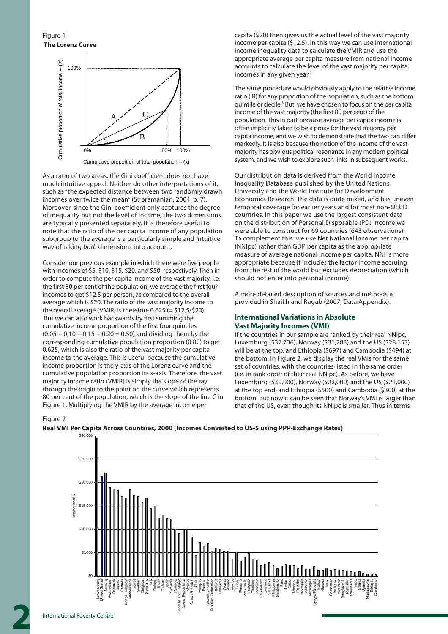Figure 1



As a ratio of two areas, the Gini coefficient does not have much intuitive appeal. Neither do other interpretations of it, such as "the expected distance between two randomly drawn incomes over twice the mean" (Subramanian, 2004, p. 7). Moreover, since the Gini coefficient only captures the degree of inequality but not the level of income, the two dimensions are typically presented separately. It is therefore useful to note that the ratio of the per capita income of any population subgroup to the average is a particularly simple and intuitive way of taking both dimensions into account.

Consider our previous example in which there were five people with incomes of \$5, \$10, \$15, \$20, and \$50, respectively. Then in order to compute the per capita income of the vast majority, i.e. the first 80 per cent of the population, we average the first four incomes to get \$12.5 per person, as compared to the overall average which is \$20. The ratio of the vast majority income to the overall average (VMIR) is therefore 0.625 (= \$12.5/\$20). But we can also work backwards by first summing the cumulative income proportion of the first four quintiles  $(0.05 + 0.10 + 0.15 + 0.20 = 0.50)$  and dividing them by the corresponding cumulative population proportion (0.80) to get 0.625, which is also the ratio of the vast majority per capita income to the average. This is useful because the cumulative income proportion is the y-axis of the Lorenz curve and the cumulative population proportion its x-axis. Therefore, the vast majority income ratio (VMIR) is simply the slope of the ray through the origin to the point on the curve which represents 80 per cent of the population, which is the slope of the line C in Figure 1. Multiplying the VMIR by the average income per

capita (\$20) then gives us the actual level of the vast majority income per capita (\$12.5). In this way we can use international income inequality data to calculate the VMIR and use the appropriate average per capita measure from national income accounts to calculate the level of the vast majority per capita incomes in any given year.<sup>2</sup>

The same procedure would obviously apply to the relative income ratio (IR) for any proportion of the population, such as the bottom quintile or decile.<sup>3</sup> But, we have chosen to focus on the per capita income of the vast majority (the first 80 per cent) of the population. This in part because average per capita income is often implicitly taken to be a proxy for the vast majority per capita income, and we wish to demonstrate that the two can differ markedly. It is also because the notion of the income of the vast majority has obvious political resonance in any modern political system, and we wish to explore such links in subsequent works.

Our distribution data is derived from the World Income Inequality Database published by the United Nations University and the World Institute for Development Economics Research. The data is quite mixed, and has uneven temporal coverage for earlier years and for most non-OECD countries. In this paper we use the largest consistent data on the distribution of Personal Disposable (PD) income we were able to construct for 69 countries (643 observations). To complement this, we use Net National Income per capita (NNIpc) rather than GDP per capita as the appropriate measure of average national income per capita. NNI is more appropriate because it includes the factor income accruing from the rest of the world but excludes depreciation (which should not enter into personal income).

A more detailed description of sources and methods is provided in Shaikh and Ragab (2007, Data Appendix).

## **International Variations in Absolute Vast Majority Incomes (VMI)**

If the countries in our sample are ranked by their real NNIpc, Luxemburg (\$37,736), Norway (\$31,283) and the US (\$28,153) will be at the top, and Ethiopia (\$697) and Cambodia (\$494) at the bottom. In Figure 2, we display the real VMIs for the same set of countries, with the countries listed in the same order (i.e. in rank order of their real NNIpc). As before, we have Luxemburg (\$30,000), Norway (\$22,000) and the US (\$21,000) at the top end, and Ethiopia (\$500) and Cambodia (\$300) at the bottom. But now it can be seen that Norway's VMI is larger than that of the US, even though its NNIpc is smaller. Thus in terms

#### Figure 2



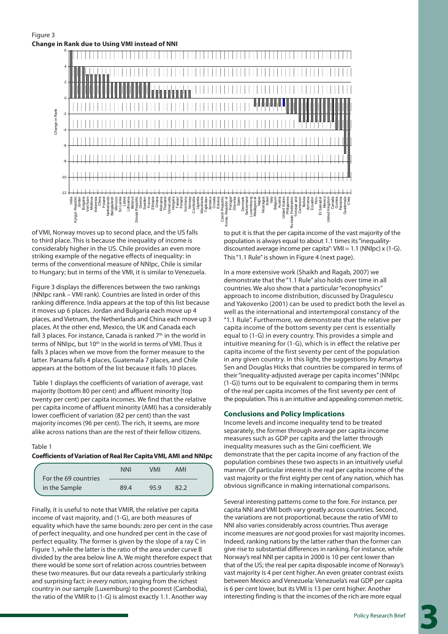Figure 3



of VMI, Norway moves up to second place, and the US falls to third place. This is because the inequality of income is considerably higher in the US. Chile provides an even more striking example of the negative effects of inequality: in terms of the conventional measure of NNIpc, Chile is similar to Hungary; but in terms of the VMI, it is similar to Venezuela.

Figure 3 displays the differences between the two rankings (NNIpc rank – VMI rank). Countries are listed in order of this ranking difference. India appears at the top of this list because it moves up 6 places. Jordan and Bulgaria each move up 4 places, and Vietnam, the Netherlands and China each move up 3 places. At the other end, Mexico, the UK and Canada each fall 3 places. For instance, Canada is ranked  $7<sup>th</sup>$  in the world in terms of NNIpc, but 10th in the world in terms of VMI. Thus it falls 3 places when we move from the former measure to the latter. Panama falls 4 places, Guatemala 7 places, and Chile appears at the bottom of the list because it falls 10 places.

 Table 1 displays the coefficients of variation of average, vast majority (bottom 80 per cent) and affluent minority (top twenty per cent) per capita incomes. We find that the relative per capita income of affluent minority (AMI) has a considerably lower coefficient of variation (82 per cent) than the vast majority incomes (96 per cent). The rich, it seems, are more alike across nations than are the rest of their fellow citizens.

Table 1

### **Coefficients of Variation of Real Rer Capita VMI, AMI and NNIpc**

| For the 69 countries | <b>NNI</b> | <b>VMI</b> | AMI  |  |
|----------------------|------------|------------|------|--|
| in the Sample        | 89.4       | 95.9       | 82 2 |  |

Finally, it is useful to note that VMIR, the relative per capita income of vast majority, and (1-G), are both measures of equality which have the same bounds: zero per cent in the case of perfect inequality, and one hundred per cent in the case of perfect equality. The former is given by the slope of a ray C in Figure 1, while the latter is the ratio of the area under curve B divided by the area below line A. We might therefore expect that there would be some sort of relation across countries between these two measures. But our data reveals a particularly striking and surprising fact: in every nation, ranging from the richest country in our sample (Luxemburg) to the poorest (Cambodia), the ratio of the VMIR to (1-G) is almost exactly 1.1. Another way

to put it is that the per capita income of the vast majority of the population is always equal to about 1.1 times its "inequalitydiscounted average income per capita": VMI = 1.1 (NNIpc) x (1-G). This "1.1 Rule" is shown in Figure 4 (next page).

Panama Guatemala Chile

In a more extensive work (Shaikh and Ragab, 2007) we demonstrate that the "1.1 Rule" also holds over time in all countries. We also show that a particular "econophysics" approach to income distribution, discussed by Dragulescu and Yakovenko (2001) can be used to predict both the level as well as the international and intertemporal constancy of the "1.1 Rule". Furthermore, we demonstrate that the relative per capita income of the bottom seventy per cent is essentially equal to (1-G) in every country. This provides a simple and intuitive meaning for (1-G), which is in effect the relative per capita income of the first seventy per cent of the population in any given country. In this light, the suggestions by Amartya Sen and Douglas Hicks that countries be compared in terms of their "inequality-adjusted average per capita incomes" (NNIpc (1-G)) turns out to be equivalent to comparing them in terms of the real per capita incomes of the first seventy per cent of the population. This is an intuitive and appealing common metric.

# **Conclusions and Policy Implications**

Income levels and income inequality tend to be treated separately, the former through average per capita income measures such as GDP per capita and the latter through inequality measures such as the Gini coefficient. We demonstrate that the per capita income of any fraction of the population combines these two aspects in an intuitively useful manner. Of particular interest is the real per capita income of the vast majority or the first eighty per cent of any nation, which has obvious significance in making international comparisons.

Several interesting patterns come to the fore. For instance, per capita NNI and VMI both vary greatly across countries. Second, the variations are not proportional, because the ratio of VMI to NNI also varies considerably across countries. Thus average income measures are not good proxies for vast majority incomes. Indeed, ranking nations by the latter rather than the former can give rise to substantial differences in ranking. For instance, while Norway's real NNI per capita in 2000 is 10 per cent lower than that of the US; the real per capita disposable income of Norway's vast majority is 4 per cent higher. An even greater contrast exists between Mexico and Venezuela: Venezuela's real GDP per capita is 6 per cent lower, but its VMI is 13 per cent higher. Another interesting finding is that the incomes of the rich are more equal